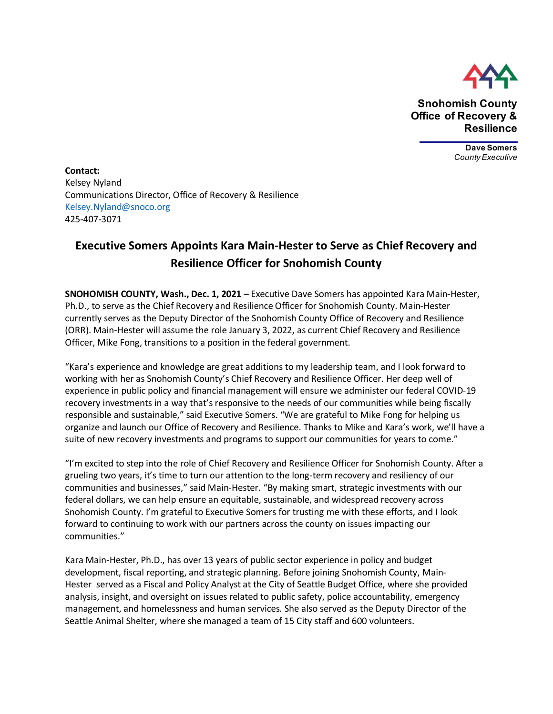

**Snohomish County Office of Recovery & Resilience**

> **Dave Somers** *County Executive*

**Contact:**  Kelsey Nyland Communications Director, Office of Recovery & Resilience [Kelsey.Nyland@snoco.org](mailto:Kelsey.Nyland@snoco.org) 425-407-3071

## **Executive Somers Appoints Kara Main-Hester to Serve as Chief Recovery and Resilience Officer for Snohomish County**

**SNOHOMISH COUNTY, Wash., Dec. 1, 2021 –** Executive Dave Somers has appointed Kara Main-Hester, Ph.D., to serve as the Chief Recovery and Resilience Officer for Snohomish County. Main-Hester currently serves as the Deputy Director of the Snohomish County Office of Recovery and Resilience (ORR). Main-Hester will assume the role January 3, 2022, as current Chief Recovery and Resilience Officer, Mike Fong, transitions to a position in the federal government.

"Kara's experience and knowledge are great additions to my leadership team, and I look forward to working with her as Snohomish County's Chief Recovery and Resilience Officer. Her deep well of experience in public policy and financial management will ensure we administer our federal COVID-19 recovery investments in a way that's responsive to the needs of our communities while being fiscally responsible and sustainable," said Executive Somers. "We are grateful to Mike Fong for helping us organize and launch our Office of Recovery and Resilience. Thanks to Mike and Kara's work, we'll have a suite of new recovery investments and programs to support our communities for years to come."

"I'm excited to step into the role of Chief Recovery and Resilience Officer for Snohomish County. After a grueling two years, it's time to turn our attention to the long-term recovery and resiliency of our communities and businesses," said Main-Hester. "By making smart, strategic investments with our federal dollars, we can help ensure an equitable, sustainable, and widespread recovery across Snohomish County. I'm grateful to Executive Somers for trusting me with these efforts, and I look forward to continuing to work with our partners across the county on issues impacting our communities."

Kara Main-Hester, Ph.D., has over 13 years of public sector experience in policy and budget development, fiscal reporting, and strategic planning. Before joining Snohomish County, Main-Hester served as a Fiscal and Policy Analyst at the City of Seattle Budget Office, where she provided analysis, insight, and oversight on issues related to public safety, police accountability, emergency management, and homelessness and human services. She also served as the Deputy Director of the Seattle Animal Shelter, where she managed a team of 15 City staff and 600 volunteers.